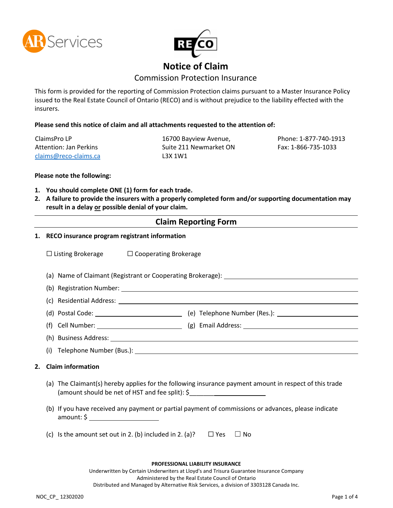



# **Notice of Claim**

## Commission Protection Insurance

This form is provided for the reporting of Commission Protection claims pursuant to a Master Insurance Policy issued to the Real Estate Council of Ontario (RECO) and is without prejudice to the liability effected with the insurers.

**Please send this notice of claim and all attachments requested to the attention of:**

ClaimsPro LP Attention: Jan Perkins <claims@reco-claims.ca>

16700 Bayview Avenue, Suite 211 Newmarket ON L3X 1W1

Phone: 1-877-740-1913 Fax: 1-866-735-1033

### **Please note the following:**

- **1. You should complete ONE (1) form for each trade.**
- **2. A failure to provide the insurers with a properly completed form and/or supporting documentation may result in a delay or possible denial of your claim.**

### **Claim Reporting Form**

|                                                                                         | 1. RECO insurance program registrant information                                                                                                                                                                                                                               |  |  |  |  |
|-----------------------------------------------------------------------------------------|--------------------------------------------------------------------------------------------------------------------------------------------------------------------------------------------------------------------------------------------------------------------------------|--|--|--|--|
|                                                                                         | $\Box$ Listing Brokerage $\Box$ Cooperating Brokerage                                                                                                                                                                                                                          |  |  |  |  |
|                                                                                         |                                                                                                                                                                                                                                                                                |  |  |  |  |
|                                                                                         |                                                                                                                                                                                                                                                                                |  |  |  |  |
|                                                                                         |                                                                                                                                                                                                                                                                                |  |  |  |  |
|                                                                                         |                                                                                                                                                                                                                                                                                |  |  |  |  |
|                                                                                         |                                                                                                                                                                                                                                                                                |  |  |  |  |
|                                                                                         |                                                                                                                                                                                                                                                                                |  |  |  |  |
|                                                                                         |                                                                                                                                                                                                                                                                                |  |  |  |  |
| 2.                                                                                      | <b>Claim information</b>                                                                                                                                                                                                                                                       |  |  |  |  |
|                                                                                         | (a) The Claimant(s) hereby applies for the following insurance payment amount in respect of this trade<br>(amount should be net of HST and fee split): \$<br>(b) If you have received any payment or partial payment of commissions or advances, please indicate<br>amount: \$ |  |  |  |  |
|                                                                                         |                                                                                                                                                                                                                                                                                |  |  |  |  |
|                                                                                         | (c) Is the amount set out in 2. (b) included in 2. (a)? $\square$ Yes<br>$\Box$ No                                                                                                                                                                                             |  |  |  |  |
|                                                                                         | PROFESSIONAL LIABILITY INSURANCE                                                                                                                                                                                                                                               |  |  |  |  |
| Underwritten by Certain Underwriters at Lloyd's and Trisura Guarantee Insurance Company |                                                                                                                                                                                                                                                                                |  |  |  |  |

Administered by the Real Estate Council of Ontario Distributed and Managed by Alternative Risk Services, a division of 3303128 Canada Inc.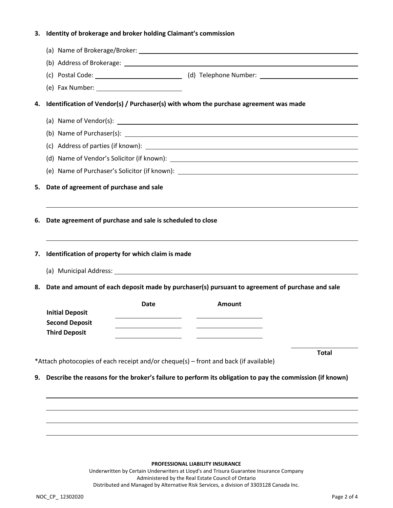## **3. Identity of brokerage and broker holding Claimant's commission**

| 4.                                           | Identification of Vendor(s) / Purchaser(s) with whom the purchase agreement was made |                                                                                                 |                                                                                                          |              |  |  |
|----------------------------------------------|--------------------------------------------------------------------------------------|-------------------------------------------------------------------------------------------------|----------------------------------------------------------------------------------------------------------|--------------|--|--|
|                                              |                                                                                      |                                                                                                 | (a) Name of Vendor(s): $\frac{1}{2}$                                                                     |              |  |  |
|                                              |                                                                                      |                                                                                                 |                                                                                                          |              |  |  |
|                                              |                                                                                      |                                                                                                 |                                                                                                          |              |  |  |
|                                              |                                                                                      |                                                                                                 |                                                                                                          |              |  |  |
|                                              |                                                                                      |                                                                                                 |                                                                                                          |              |  |  |
| Date of agreement of purchase and sale<br>5. |                                                                                      |                                                                                                 |                                                                                                          |              |  |  |
| 7.                                           | Identification of property for which claim is made                                   |                                                                                                 |                                                                                                          |              |  |  |
| 8.                                           |                                                                                      | Date and amount of each deposit made by purchaser(s) pursuant to agreement of purchase and sale |                                                                                                          |              |  |  |
|                                              | <b>Initial Deposit</b><br><b>Second Deposit</b><br><b>Third Deposit</b>              | <b>Date</b>                                                                                     | <b>Amount</b>                                                                                            |              |  |  |
|                                              |                                                                                      |                                                                                                 |                                                                                                          | <b>Total</b> |  |  |
|                                              | *Attach photocopies of each receipt and/or cheque(s) - front and back (if available) |                                                                                                 |                                                                                                          |              |  |  |
|                                              |                                                                                      |                                                                                                 | Describe the reasons for the broker's failure to perform its obligation to pay the commission (if known) |              |  |  |
| 9.                                           |                                                                                      |                                                                                                 |                                                                                                          |              |  |  |
|                                              |                                                                                      |                                                                                                 |                                                                                                          |              |  |  |

#### **PROFESSIONAL LIABILITY INSURANCE**

Underwritten by Certain Underwriters at Lloyd's and Trisura Guarantee Insurance Company Administered by the Real Estate Council of Ontario Distributed and Managed by Alternative Risk Services, a division of 3303128 Canada Inc.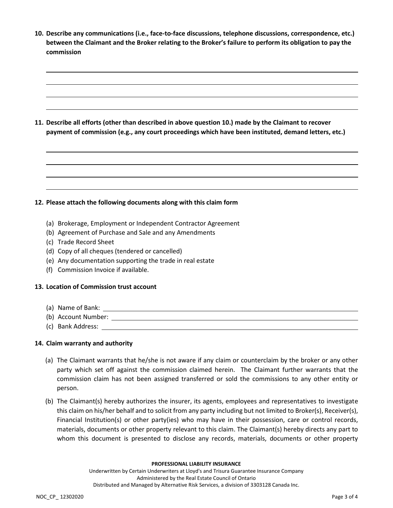| 10. Describe any communications (i.e., face-to-face discussions, telephone discussions, correspondence, etc.)<br>between the Claimant and the Broker relating to the Broker's failure to perform its obligation to pay the<br>commission |
|------------------------------------------------------------------------------------------------------------------------------------------------------------------------------------------------------------------------------------------|
|                                                                                                                                                                                                                                          |
| 11. Describe all efforts (other than described in above question 10.) made by the Claimant to recover<br>payment of commission (e.g., any court proceedings which have been instituted, demand letters, etc.)                            |
|                                                                                                                                                                                                                                          |
|                                                                                                                                                                                                                                          |
| 12. Please attach the following documents along with this claim form                                                                                                                                                                     |
| (a) Brokerage, Employment or Independent Contractor Agreement                                                                                                                                                                            |
| (b) Agreement of Purchase and Sale and any Amendments                                                                                                                                                                                    |
| (c) Trade Record Sheet                                                                                                                                                                                                                   |
| (d) Copy of all cheques (tendered or cancelled)                                                                                                                                                                                          |
| (e) Any documentation supporting the trade in real estate                                                                                                                                                                                |
| (f) Commission Invoice if available.                                                                                                                                                                                                     |
| 13. Location of Commission trust account                                                                                                                                                                                                 |
| (a) Name of Bank: <u>example and the set of the set of the set of the set of the set of the set of the set of the set of the set of the set of the set of the set of the set of the set of the set of the set of the set of the </u>     |
|                                                                                                                                                                                                                                          |
| (c) Bank Address: Latin Contract Contract Contract Contract Contract Contract Contract Contract Contract Contract Contract Contract Contract Contract Contract Contract Contract Contract Contract Contract Contract Contract            |
| 14. Claim warranty and authority                                                                                                                                                                                                         |
| (a) The Claimant warrants that he/she is not aware if any claim or counterclaim by the broker or any other<br>party which set off against the commission claimed herein. The Claimant further warrants that the                          |

- party which set off against the commission claimed herein. The Claimant further warrants that the commission claim has not been assigned transferred or sold the commissions to any other entity or person.
- (b) The Claimant(s) hereby authorizes the insurer, its agents, employees and representatives to investigate this claim on his/her behalf and to solicit from any party including but not limited to Broker(s), Receiver(s), Financial Institution(s) or other party(ies) who may have in their possession, care or control records, materials, documents or other property relevant to this claim. The Claimant(s) hereby directs any part to whom this document is presented to disclose any records, materials, documents or other property

### **PROFESSIONAL LIABILITY INSURANCE**

Underwritten by Certain Underwriters at Lloyd's and Trisura Guarantee Insurance Company Administered by the Real Estate Council of Ontario Distributed and Managed by Alternative Risk Services, a division of 3303128 Canada Inc.